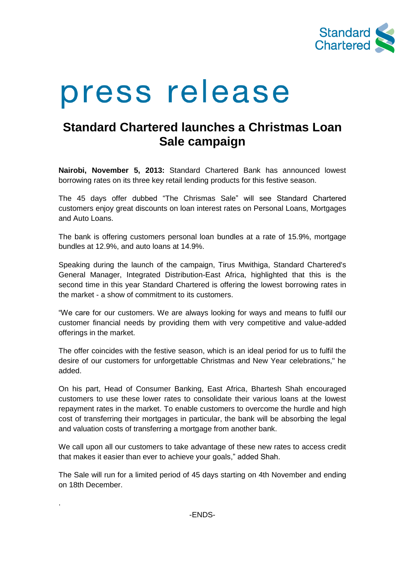

# press release

## **Standard Chartered launches a Christmas Loan Sale campaign**

**Nairobi, November 5, 2013:** Standard Chartered Bank has announced lowest borrowing rates on its three key retail lending products for this festive season.

The 45 days offer dubbed "The Chrismas Sale" will see Standard Chartered customers enjoy great discounts on loan interest rates on Personal Loans, Mortgages and Auto Loans.

The bank is offering customers personal loan bundles at a rate of 15.9%, mortgage bundles at 12.9%, and auto loans at 14.9%.

Speaking during the launch of the campaign, Tirus Mwithiga, Standard Chartered's General Manager, Integrated Distribution-East Africa, highlighted that this is the second time in this year Standard Chartered is offering the lowest borrowing rates in the market - a show of commitment to its customers.

"We care for our customers. We are always looking for ways and means to fulfil our customer financial needs by providing them with very competitive and value-added offerings in the market.

The offer coincides with the festive season, which is an ideal period for us to fulfil the desire of our customers for unforgettable Christmas and New Year celebrations," he added.

On his part, Head of Consumer Banking, East Africa, Bhartesh Shah encouraged customers to use these lower rates to consolidate their various loans at the lowest repayment rates in the market. To enable customers to overcome the hurdle and high cost of transferring their mortgages in particular, the bank will be absorbing the legal and valuation costs of transferring a mortgage from another bank.

We call upon all our customers to take advantage of these new rates to access credit that makes it easier than ever to achieve your goals," added Shah.

The Sale will run for a limited period of 45 days starting on 4th November and ending on 18th December.

.